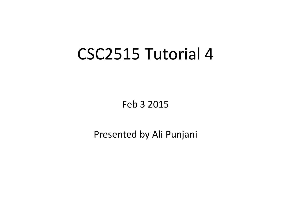#### CSC2515 Tutorial 4

Feb 3 2015 

Presented by Ali Punjani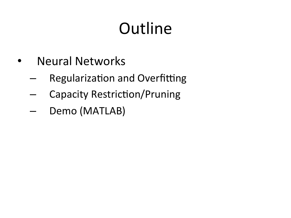# **Outline**

- Neural Networks
	- $-$  Regularization and Overfitting
	- Capacity Restriction/Pruning
	- Demo (MATLAB)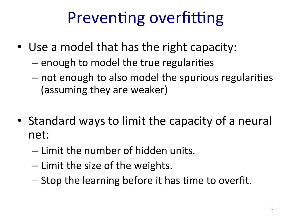## Preventing overfitting

- Use a model that has the right capacity:
	- $-$  enough to model the true regularities
	- $-$  not enough to also model the spurious regularities (assuming they are weaker)
- Standard ways to limit the capacity of a neural net:
	- $-$  Limit the number of hidden units.
	- Limit the size of the weights.
	- $-$  Stop the learning before it has time to overfit.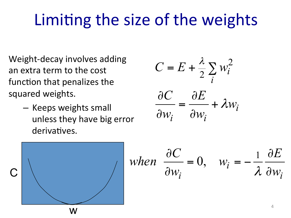### Limiting the size of the weights

Weight-decay involves adding an extra term to the cost function that penalizes the squared weights.

> – Keeps weights small unless they have big error derivatives.

$$
C = E + \frac{\lambda}{2} \sum_{i} w_i^2
$$

$$
\frac{\partial C}{\partial w_i} = \frac{\partial E}{\partial w_i} + \lambda w_i
$$

$$
\begin{array}{c|c}\n\hline\nC & \\
\hline\nW & \\
\hline\n\end{array}
$$

when 
$$
\frac{\partial C}{\partial w_i} = 0
$$
,  $w_i = -\frac{1}{\lambda} \frac{\partial E}{\partial w_i}$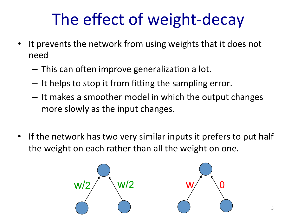# The effect of weight-decay

- It prevents the network from using weights that it does not need
	- $-$  This can often improve generalization a lot.
	- $-$  It helps to stop it from fitting the sampling error.
	- $-$  It makes a smoother model in which the output changes more slowly as the input changes.
- If the network has two very similar inputs it prefers to put half the weight on each rather than all the weight on one.

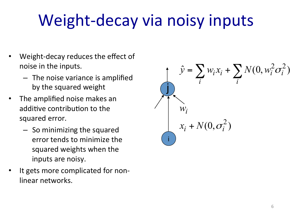## Weight-decay via noisy inputs

- Weight-decay reduces the effect of noise in the inputs.
	- $-$  The noise variance is amplified by the squared weight
- The amplified noise makes an additive contribution to the squared error.
	- $-$  So minimizing the squared error tends to minimize the squared weights when the inputs are noisy.
- It gets more complicated for nonlinear networks.

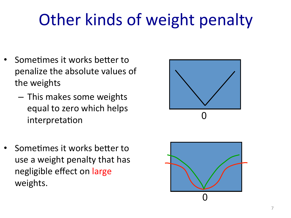# Other kinds of weight penalty

- Sometimes it works better to penalize the absolute values of the weights
	- $-$  This makes some weights equal to zero which helps interpretation
- Sometimes it works better to use a weight penalty that has negligible effect on large weights.



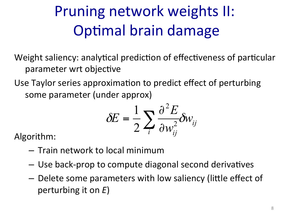#### Pruning network weights II: Optimal brain damage

Weight saliency: analytical prediction of effectiveness of particular parameter wrt objective

Use Taylor series approximation to predict effect of perturbing some parameter (under approx)

$$
\delta E = \frac{1}{2} \sum_{i} \frac{\partial^2 E}{\partial w_{ij}^2} \delta w_{ij}
$$

Algorithm: 

- $-$  Train network to local minimum
- $-$  Use back-prop to compute diagonal second derivatives
- $-$  Delete some parameters with low saliency (little effect of perturbing it on *E*)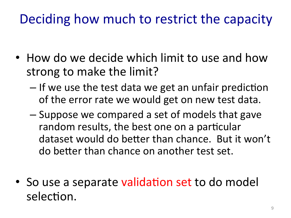#### Deciding how much to restrict the capacity

- How do we decide which limit to use and how strong to make the limit?
	- $-$  If we use the test data we get an unfair prediction of the error rate we would get on new test data.
	- Suppose we compared a set of models that gave random results, the best one on a particular dataset would do better than chance. But it won't do better than chance on another test set.
- So use a separate validation set to do model selection.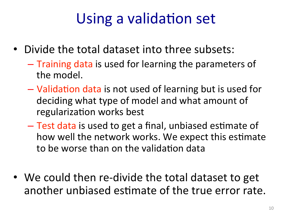#### Using a validation set

- Divide the total dataset into three subsets:
	- $-$  Training data is used for learning the parameters of the model.
	- $-$  Validation data is not used of learning but is used for deciding what type of model and what amount of regularization works best
	- $-$  Test data is used to get a final, unbiased estimate of how well the network works. We expect this estimate to be worse than on the validation data
- We could then re-divide the total dataset to get another unbiased estimate of the true error rate.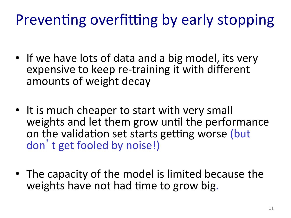#### Preventing overfitting by early stopping

- If we have lots of data and a big model, its very expensive to keep re-training it with different amounts of weight decay
- It is much cheaper to start with very small weights and let them grow until the performance on the validation set starts getting worse (but don't get fooled by noise!)
- The capacity of the model is limited because the weights have not had time to grow big.